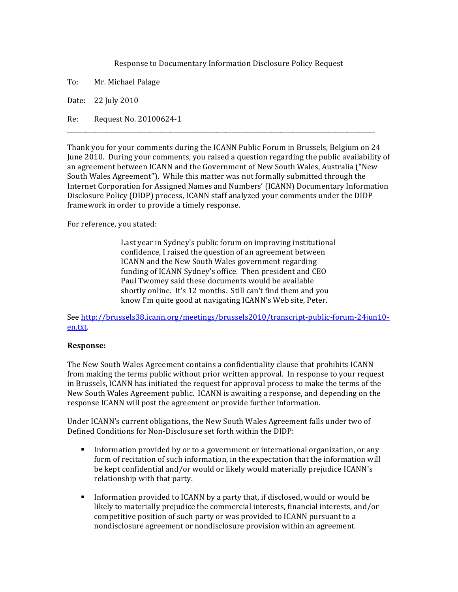Response to Documentary Information Disclosure Policy Request

To: Mr. Michael Palage

Date: 22 July 2010

Re: Request No. 20100624-1

Thank you for your comments during the ICANN Public Forum in Brussels, Belgium on 24 June 2010. During your comments, you raised a question regarding the public availability of an agreement between ICANN and the Government of New South Wales, Australia ("New' South Wales Agreement"). While this matter was not formally submitted through the Internet Corporation for Assigned Names and Numbers' (ICANN) Documentary Information Disclosure Policy (DIDP) process, ICANN staff analyzed your comments under the DIDP framework in order to provide a timely response.

\_\_\_\_\_\_\_\_\_\_\_\_\_\_\_\_\_\_\_\_\_\_\_\_\_\_\_\_\_\_\_\_\_\_\_\_\_\_\_\_\_\_\_\_\_\_\_\_\_\_\_\_\_\_\_\_\_\_\_\_\_\_\_\_\_\_\_\_\_\_\_\_\_\_\_\_\_\_\_\_\_\_\_\_\_\_\_\_\_\_\_\_\_\_\_\_\_\_\_\_\_

For reference, you stated:

Last year in Sydney's public forum on improving institutional confidence, I raised the question of an agreement between ICANN and the New South Wales government regarding funding of ICANN Sydney's office. Then president and CEO Paul Twomey said these documents would be available shortly online. It's 12 months. Still can't find them and you know I'm quite good at navigating ICANN's Web site, Peter.

See http://brussels38.icann.org/meetings/brussels2010/transcript-public-forum-24jun10en.txt.

## **Response:**

The New South Wales Agreement contains a confidentiality clause that prohibits ICANN from making the terms public without prior written approval. In response to your request in Brussels, ICANN has initiated the request for approval process to make the terms of the New South Wales Agreement public. ICANN is awaiting a response, and depending on the response ICANN will post the agreement or provide further information.

Under ICANN's current obligations, the New South Wales Agreement falls under two of Defined Conditions for Non-Disclosure set forth within the DIDP:

- Information' provided by or to a government or international organization, or any form of recitation of such information, in the expectation that the information will be kept confidential and/or would or likely would materially prejudice ICANN's relationship with that party.
- Information' provided to ICANN by a party that, if disclosed, would or would be likely to materially prejudice the commercial interests, financial interests, and/or competitive position of such party or was provided to ICANN pursuant to a nondisclosure agreement or nondisclosure provision within an agreement.